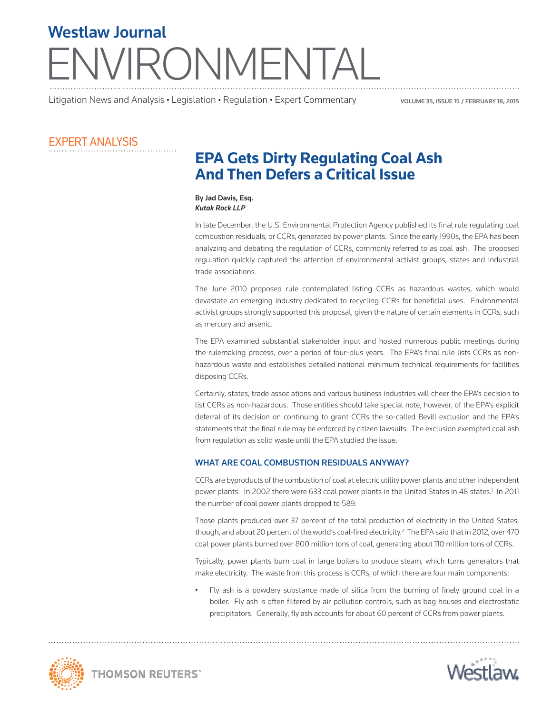# RONMENTAI Westlaw Journal

Litigation News and Analysis • Legislation • Regulation • Expert Commentary

VOLUME 35, iSSUE 15 / february 18, 2015

### Expert Analysis

## **EPA Gets Dirty Regulating Coal Ash And Then Defers a Critical Issue**

By Jad Davis, Esq. *Kutak Rock LLP*

In late December, the U.S. Environmental Protection Agency published its final rule regulating coal combustion residuals, or CCRs, generated by power plants. Since the early 1990s, the EPA has been analyzing and debating the regulation of CCRs, commonly referred to as coal ash. The proposed regulation quickly captured the attention of environmental activist groups, states and industrial trade associations.

The June 2010 proposed rule contemplated listing CCRs as hazardous wastes, which would devastate an emerging industry dedicated to recycling CCRs for beneficial uses. Environmental activist groups strongly supported this proposal, given the nature of certain elements in CCRs, such as mercury and arsenic.

The EPA examined substantial stakeholder input and hosted numerous public meetings during the rulemaking process, over a period of four-plus years. The EPA's final rule lists CCRs as nonhazardous waste and establishes detailed national minimum technical requirements for facilities disposing CCRs.

Certainly, states, trade associations and various business industries will cheer the EPA's decision to list CCRs as non-hazardous. Those entities should take special note, however, of the EPA's explicit deferral of its decision on continuing to grant CCRs the so-called Bevill exclusion and the EPA's statements that the final rule may be enforced by citizen lawsuits. The exclusion exempted coal ash from regulation as solid waste until the EPA studied the issue.

#### What are coal combustion residuals anyway?

CCRs are byproducts of the combustion of coal at electric utility power plants and other independent power plants. In 2002 there were 633 coal power plants in the United States in 48 states.<sup>1</sup> In 2011 the number of coal power plants dropped to 589.

Those plants produced over 37 percent of the total production of electricity in the United States, though, and about 20 percent of the world's coal-fired electricity.<sup>2</sup> The EPA said that in 2012, over 470 coal power plants burned over 800 million tons of coal, generating about 110 million tons of CCRs.

Typically, power plants burn coal in large boilers to produce steam, which turns generators that make electricity. The waste from this process is CCRs, of which there are four main components:

• Fly ash is a powdery substance made of silica from the burning of finely ground coal in a boiler. Fly ash is often filtered by air pollution controls, such as bag houses and electrostatic precipitators. Generally, fly ash accounts for about 60 percent of CCRs from power plants.



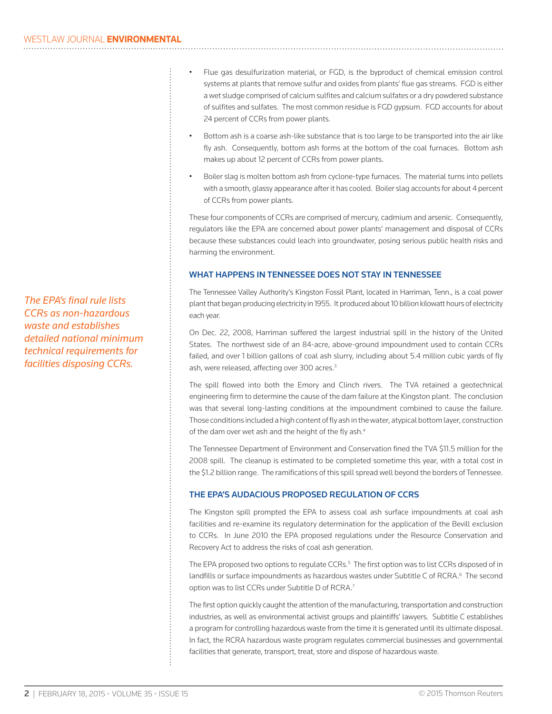*The EPA's final rule lists CCRs as non-hazardous waste and establishes detailed national minimum technical requirements for facilities disposing CCRs.*

- Flue gas desulfurization material, or FGD, is the byproduct of chemical emission control systems at plants that remove sulfur and oxides from plants' flue gas streams. FGD is either a wet sludge comprised of calcium sulfites and calcium sulfates or a dry powdered substance of sulfites and sulfates. The most common residue is FGD gypsum. FGD accounts for about 24 percent of CCRs from power plants.
- Bottom ash is a coarse ash-like substance that is too large to be transported into the air like fly ash. Consequently, bottom ash forms at the bottom of the coal furnaces. Bottom ash makes up about 12 percent of CCRs from power plants.
- Boiler slag is molten bottom ash from cyclone-type furnaces. The material turns into pellets with a smooth, glassy appearance after it has cooled. Boiler slag accounts for about 4 percent of CCRs from power plants.

These four components of CCRs are comprised of mercury, cadmium and arsenic. Consequently, regulators like the EPA are concerned about power plants' management and disposal of CCRs because these substances could leach into groundwater, posing serious public health risks and harming the environment.

#### What happens in Tennessee does not stay in Tennessee

The Tennessee Valley Authority's Kingston Fossil Plant, located in Harriman, Tenn., is a coal power plant that began producing electricity in 1955. It produced about 10 billion kilowatt hours of electricity each year.

On Dec. 22, 2008, Harriman suffered the largest industrial spill in the history of the United States. The northwest side of an 84-acre, above-ground impoundment used to contain CCRs failed, and over 1 billion gallons of coal ash slurry, including about 5.4 million cubic yards of fly ash, were released, affecting over 300 acres.<sup>3</sup>

The spill flowed into both the Emory and Clinch rivers. The TVA retained a geotechnical engineering firm to determine the cause of the dam failure at the Kingston plant. The conclusion was that several long-lasting conditions at the impoundment combined to cause the failure. Those conditions included a high content of fly ash in the water, atypical bottom layer, construction of the dam over wet ash and the height of the fly ash.<sup>4</sup>

The Tennessee Department of Environment and Conservation fined the TVA \$11.5 million for the 2008 spill. The cleanup is estimated to be completed sometime this year, with a total cost in the \$1.2 billion range. The ramifications of this spill spread well beyond the borders of Tennessee.

#### The EPA's audacious proposed regulation of CCRs

The Kingston spill prompted the EPA to assess coal ash surface impoundments at coal ash facilities and re-examine its regulatory determination for the application of the Bevill exclusion to CCRs. In June 2010 the EPA proposed regulations under the Resource Conservation and Recovery Act to address the risks of coal ash generation.

The EPA proposed two options to regulate CCRs.<sup>5</sup> The first option was to list CCRs disposed of in landfills or surface impoundments as hazardous wastes under Subtitle C of RCRA.<sup>6</sup> The second option was to list CCRs under Subtitle D of RCRA.<sup>7</sup>

The first option quickly caught the attention of the manufacturing, transportation and construction industries, as well as environmental activist groups and plaintiffs' lawyers. Subtitle C establishes a program for controlling hazardous waste from the time it is generated until its ultimate disposal. In fact, the RCRA hazardous waste program regulates commercial businesses and governmental facilities that generate, transport, treat, store and dispose of hazardous waste.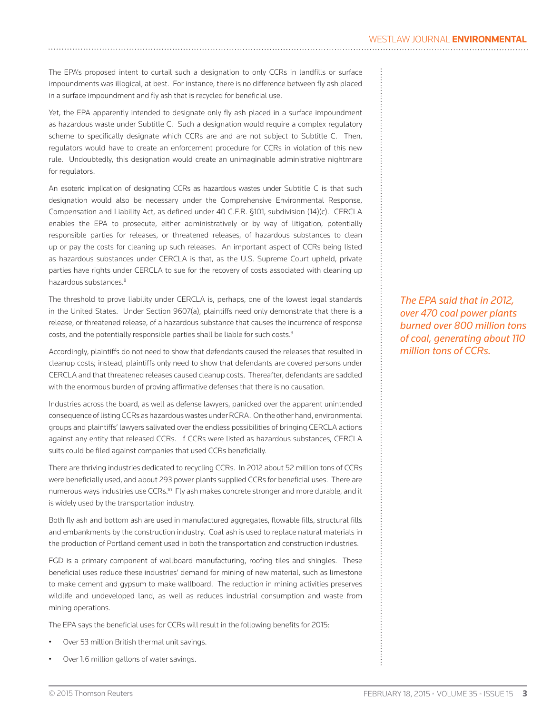The EPA's proposed intent to curtail such a designation to only CCRs in landfills or surface impoundments was illogical, at best. For instance, there is no difference between fly ash placed in a surface impoundment and fly ash that is recycled for beneficial use.

Yet, the EPA apparently intended to designate only fly ash placed in a surface impoundment as hazardous waste under Subtitle C. Such a designation would require a complex regulatory scheme to specifically designate which CCRs are and are not subject to Subtitle C. Then, regulators would have to create an enforcement procedure for CCRs in violation of this new rule. Undoubtedly, this designation would create an unimaginable administrative nightmare for regulators.

An esoteric implication of designating CCRs as hazardous wastes under Subtitle C is that such designation would also be necessary under the Comprehensive Environmental Response, Compensation and Liability Act, as defined under 40 C.F.R. §101, subdivision (14)(c). CERCLA enables the EPA to prosecute, either administratively or by way of litigation, potentially responsible parties for releases, or threatened releases, of hazardous substances to clean up or pay the costs for cleaning up such releases. An important aspect of CCRs being listed as hazardous substances under CERCLA is that, as the U.S. Supreme Court upheld, private parties have rights under CERCLA to sue for the recovery of costs associated with cleaning up hazardous substances.<sup>8</sup>

The threshold to prove liability under CERCLA is, perhaps, one of the lowest legal standards in the United States. Under Section 9607(a), plaintiffs need only demonstrate that there is a release, or threatened release, of a hazardous substance that causes the incurrence of response costs, and the potentially responsible parties shall be liable for such costs. $9$ 

Accordingly, plaintiffs do not need to show that defendants caused the releases that resulted in cleanup costs; instead, plaintiffs only need to show that defendants are covered persons under CERCLA and that threatened releases caused cleanup costs. Thereafter, defendants are saddled with the enormous burden of proving affirmative defenses that there is no causation.

Industries across the board, as well as defense lawyers, panicked over the apparent unintended consequence of listing CCRs as hazardous wastes under RCRA. On the other hand, environmental groups and plaintiffs' lawyers salivated over the endless possibilities of bringing CERCLA actions against any entity that released CCRs. If CCRs were listed as hazardous substances, CERCLA suits could be filed against companies that used CCRs beneficially.

There are thriving industries dedicated to recycling CCRs. In 2012 about 52 million tons of CCRs were beneficially used, and about 293 power plants supplied CCRs for beneficial uses. There are numerous ways industries use CCRs.<sup>10</sup> Fly ash makes concrete stronger and more durable, and it is widely used by the transportation industry.

Both fly ash and bottom ash are used in manufactured aggregates, flowable fills, structural fills and embankments by the construction industry. Coal ash is used to replace natural materials in the production of Portland cement used in both the transportation and construction industries.

FGD is a primary component of wallboard manufacturing, roofing tiles and shingles. These beneficial uses reduce these industries' demand for mining of new material, such as limestone to make cement and gypsum to make wallboard. The reduction in mining activities preserves wildlife and undeveloped land, as well as reduces industrial consumption and waste from mining operations.

The EPA says the beneficial uses for CCRs will result in the following benefits for 2015:

- Over 53 million British thermal unit savings.
- Over 1.6 million gallons of water savings.

*The EPA said that in 2012, over 470 coal power plants burned over 800 million tons of coal, generating about 110 million tons of CCRs.*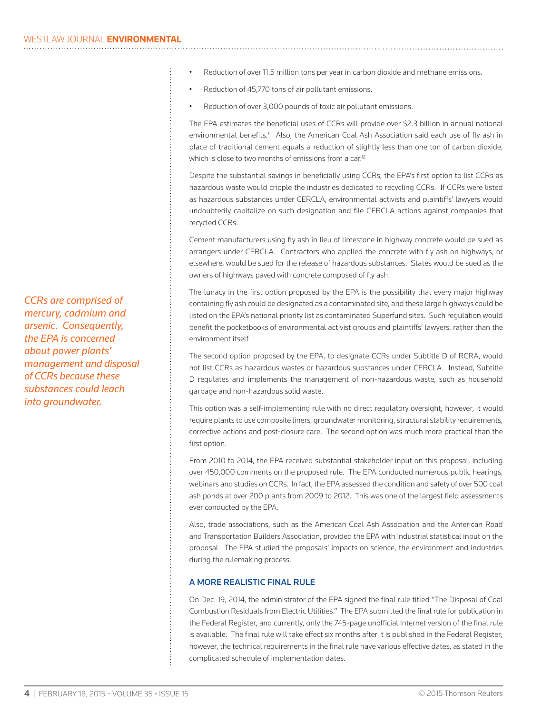*CCRs are comprised of mercury, cadmium and arsenic. Consequently, the EPA is concerned about power plants' management and disposal of CCRs because these substances could leach into groundwater.*

- Reduction of over 11.5 million tons per year in carbon dioxide and methane emissions.
- Reduction of 45,770 tons of air pollutant emissions.
- Reduction of over 3,000 pounds of toxic air pollutant emissions.

The EPA estimates the beneficial uses of CCRs will provide over \$2.3 billion in annual national environmental benefits.<sup>11</sup> Also, the American Coal Ash Association said each use of fly ash in place of traditional cement equals a reduction of slightly less than one ton of carbon dioxide, which is close to two months of emissions from a car.<sup>12</sup>

Despite the substantial savings in beneficially using CCRs, the EPA's first option to list CCRs as hazardous waste would cripple the industries dedicated to recycling CCRs. If CCRs were listed as hazardous substances under CERCLA, environmental activists and plaintiffs' lawyers would undoubtedly capitalize on such designation and file CERCLA actions against companies that recycled CCRs.

Cement manufacturers using fly ash in lieu of limestone in highway concrete would be sued as arrangers under CERCLA. Contractors who applied the concrete with fly ash on highways, or elsewhere, would be sued for the release of hazardous substances. States would be sued as the owners of highways paved with concrete composed of fly ash.

The lunacy in the first option proposed by the EPA is the possibility that every major highway containing fly ash could be designated as a contaminated site, and these large highways could be listed on the EPA's national priority list as contaminated Superfund sites. Such regulation would benefit the pocketbooks of environmental activist groups and plaintiffs' lawyers, rather than the environment itself.

The second option proposed by the EPA, to designate CCRs under Subtitle D of RCRA, would not list CCRs as hazardous wastes or hazardous substances under CERCLA. Instead, Subtitle D regulates and implements the management of non-hazardous waste, such as household garbage and non-hazardous solid waste.

This option was a self-implementing rule with no direct regulatory oversight; however, it would require plants to use composite liners, groundwater monitoring, structural stability requirements, corrective actions and post-closure care. The second option was much more practical than the first option.

From 2010 to 2014, the EPA received substantial stakeholder input on this proposal, including over 450,000 comments on the proposed rule. The EPA conducted numerous public hearings, webinars and studies on CCRs. In fact, the EPA assessed the condition and safety of over 500 coal ash ponds at over 200 plants from 2009 to 2012. This was one of the largest field assessments ever conducted by the EPA.

Also, trade associations, such as the American Coal Ash Association and the American Road and Transportation Builders Association, provided the EPA with industrial statistical input on the proposal. The EPA studied the proposals' impacts on science, the environment and industries during the rulemaking process.

#### A more realistic final rule

On Dec. 19, 2014, the administrator of the EPA signed the final rule titled "The Disposal of Coal Combustion Residuals from Electric Utilities." The EPA submitted the final rule for publication in the Federal Register, and currently, only the 745-page unofficial Internet version of the final rule is available. The final rule will take effect six months after it is published in the Federal Register; however, the technical requirements in the final rule have various effective dates, as stated in the complicated schedule of implementation dates.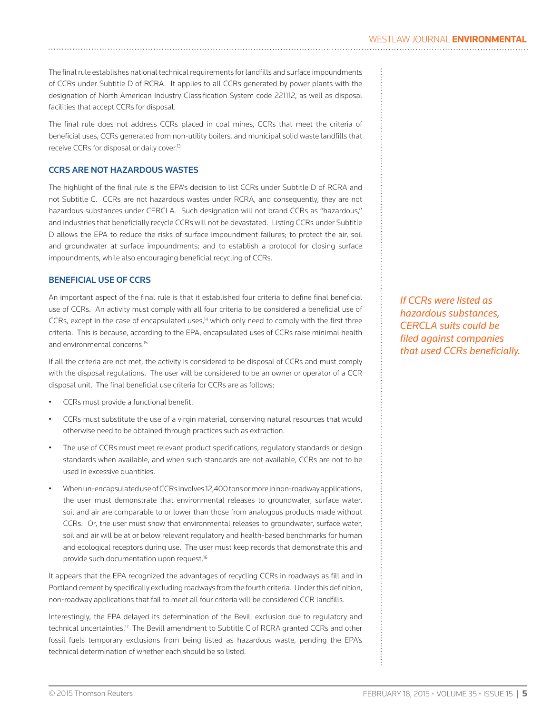The final rule establishes national technical requirements for landfills and surface impoundments of CCRs under Subtitle D of RCRA. It applies to all CCRs generated by power plants with the designation of North American Industry Classification System code 221112, as well as disposal facilities that accept CCRs for disposal.

The final rule does not address CCRs placed in coal mines, CCRs that meet the criteria of beneficial uses, CCRs generated from non-utility boilers, and municipal solid waste landfills that receive CCRs for disposal or daily cover.<sup>13</sup>

#### CCRs are not hazardous wastes

The highlight of the final rule is the EPA's decision to list CCRs under Subtitle D of RCRA and not Subtitle C. CCRs are not hazardous wastes under RCRA, and consequently, they are not hazardous substances under CERCLA. Such designation will not brand CCRs as "hazardous," and industries that beneficially recycle CCRs will not be devastated. Listing CCRs under Subtitle D allows the EPA to reduce the risks of surface impoundment failures; to protect the air, soil and groundwater at surface impoundments; and to establish a protocol for closing surface impoundments, while also encouraging beneficial recycling of CCRs.

#### Beneficial use of CCRs

An important aspect of the final rule is that it established four criteria to define final beneficial use of CCRs. An activity must comply with all four criteria to be considered a beneficial use of CCRs, except in the case of encapsulated uses,<sup>14</sup> which only need to comply with the first three criteria. This is because, according to the EPA, encapsulated uses of CCRs raise minimal health and environmental concerns.15

If all the criteria are not met, the activity is considered to be disposal of CCRs and must comply with the disposal regulations. The user will be considered to be an owner or operator of a CCR disposal unit. The final beneficial use criteria for CCRs are as follows:

- CCRs must provide a functional benefit.
- CCRs must substitute the use of a virgin material, conserving natural resources that would otherwise need to be obtained through practices such as extraction.
- The use of CCRs must meet relevant product specifications, regulatory standards or design standards when available, and when such standards are not available, CCRs are not to be used in excessive quantities.
- When un-encapsulated use of CCRs involves 12,400 tons or more in non-roadway applications, the user must demonstrate that environmental releases to groundwater, surface water, soil and air are comparable to or lower than those from analogous products made without CCRs. Or, the user must show that environmental releases to groundwater, surface water, soil and air will be at or below relevant regulatory and health-based benchmarks for human and ecological receptors during use. The user must keep records that demonstrate this and provide such documentation upon request.<sup>16</sup>

It appears that the EPA recognized the advantages of recycling CCRs in roadways as fill and in Portland cement by specifically excluding roadways from the fourth criteria. Under this definition, non-roadway applications that fail to meet all four criteria will be considered CCR landfills.

Interestingly, the EPA delayed its determination of the Bevill exclusion due to regulatory and technical uncertainties.17 The Bevill amendment to Subtitle C of RCRA granted CCRs and other fossil fuels temporary exclusions from being listed as hazardous waste, pending the EPA's technical determination of whether each should be so listed.

*If CCRs were listed as hazardous substances, CERCLA suits could be filed against companies that used CCRs beneficially.*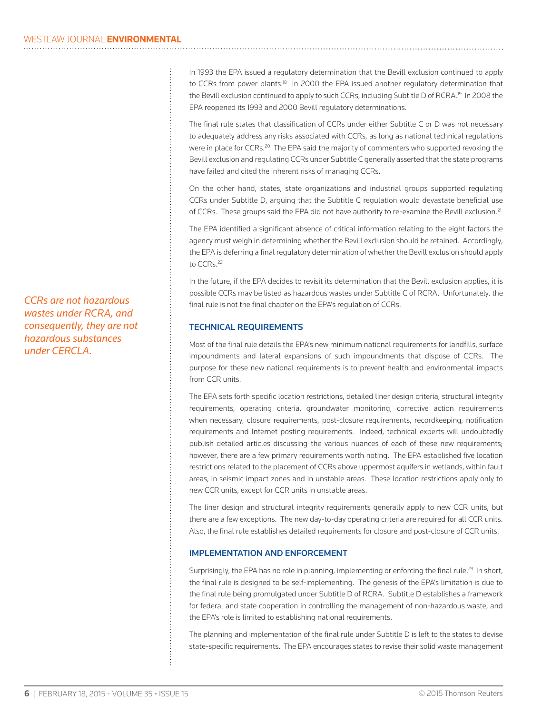In 1993 the EPA issued a regulatory determination that the Bevill exclusion continued to apply to CCRs from power plants.<sup>18</sup> In 2000 the EPA issued another regulatory determination that the Bevill exclusion continued to apply to such CCRs, including Subtitle D of RCRA.<sup>19</sup> In 2008 the EPA reopened its 1993 and 2000 Bevill regulatory determinations.

The final rule states that classification of CCRs under either Subtitle C or D was not necessary to adequately address any risks associated with CCRs, as long as national technical regulations were in place for CCRs.<sup>20</sup> The EPA said the majority of commenters who supported revoking the Bevill exclusion and regulating CCRs under Subtitle C generally asserted that the state programs have failed and cited the inherent risks of managing CCRs.

On the other hand, states, state organizations and industrial groups supported regulating CCRs under Subtitle D, arguing that the Subtitle C regulation would devastate beneficial use of CCRs. These groups said the EPA did not have authority to re-examine the Bevill exclusion.<sup>21</sup>

The EPA identified a significant absence of critical information relating to the eight factors the agency must weigh in determining whether the Bevill exclusion should be retained. Accordingly, the EPA is deferring a final regulatory determination of whether the Bevill exclusion should apply to CCRs.<sup>22</sup>

In the future, if the EPA decides to revisit its determination that the Bevill exclusion applies, it is possible CCRs may be listed as hazardous wastes under Subtitle C of RCRA. Unfortunately, the final rule is not the final chapter on the EPA's regulation of CCRs.

#### Technical requirements

Most of the final rule details the EPA's new minimum national requirements for landfills, surface impoundments and lateral expansions of such impoundments that dispose of CCRs. The purpose for these new national requirements is to prevent health and environmental impacts from CCR units.

The EPA sets forth specific location restrictions, detailed liner design criteria, structural integrity requirements, operating criteria, groundwater monitoring, corrective action requirements when necessary, closure requirements, post-closure requirements, recordkeeping, notification requirements and Internet posting requirements. Indeed, technical experts will undoubtedly publish detailed articles discussing the various nuances of each of these new requirements; however, there are a few primary requirements worth noting. The EPA established five location restrictions related to the placement of CCRs above uppermost aquifers in wetlands, within fault areas, in seismic impact zones and in unstable areas. These location restrictions apply only to new CCR units, except for CCR units in unstable areas.

The liner design and structural integrity requirements generally apply to new CCR units, but there are a few exceptions. The new day-to-day operating criteria are required for all CCR units. Also, the final rule establishes detailed requirements for closure and post-closure of CCR units.

#### Implementation and enforcement

Surprisingly, the EPA has no role in planning, implementing or enforcing the final rule.<sup>23</sup> In short, the final rule is designed to be self-implementing. The genesis of the EPA's limitation is due to the final rule being promulgated under Subtitle D of RCRA. Subtitle D establishes a framework for federal and state cooperation in controlling the management of non-hazardous waste, and the EPA's role is limited to establishing national requirements.

The planning and implementation of the final rule under Subtitle D is left to the states to devise state-specific requirements. The EPA encourages states to revise their solid waste management

*CCRs are not hazardous wastes under RCRA, and consequently, they are not hazardous substances under CERCLA.*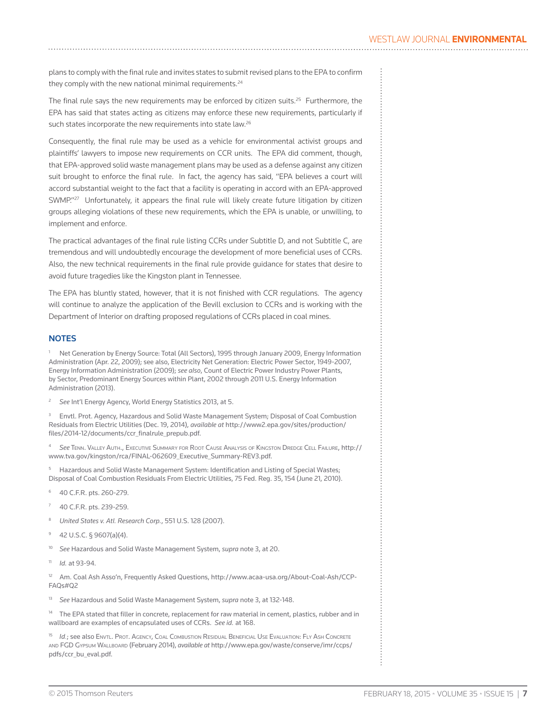plans to comply with the final rule and invites states to submit revised plans to the EPA to confirm they comply with the new national minimal requirements.<sup>24</sup>

The final rule says the new requirements may be enforced by citizen suits.<sup>25</sup> Furthermore, the EPA has said that states acting as citizens may enforce these new requirements, particularly if such states incorporate the new requirements into state law.<sup>26</sup>

Consequently, the final rule may be used as a vehicle for environmental activist groups and plaintiffs' lawyers to impose new requirements on CCR units. The EPA did comment, though, that EPA-approved solid waste management plans may be used as a defense against any citizen suit brought to enforce the final rule. In fact, the agency has said, "EPA believes a court will accord substantial weight to the fact that a facility is operating in accord with an EPA-approved SWMP."<sup>27</sup> Unfortunately, it appears the final rule will likely create future litigation by citizen groups alleging violations of these new requirements, which the EPA is unable, or unwilling, to implement and enforce.

The practical advantages of the final rule listing CCRs under Subtitle D, and not Subtitle C, are tremendous and will undoubtedly encourage the development of more beneficial uses of CCRs. Also, the new technical requirements in the final rule provide guidance for states that desire to avoid future tragedies like the Kingston plant in Tennessee.

The EPA has bluntly stated, however, that it is not finished with CCR regulations. The agency will continue to analyze the application of the Bevill exclusion to CCRs and is working with the Department of Interior on drafting proposed regulations of CCRs placed in coal mines.

#### **NOTES**

 Net Generation by Energy Source: Total (All Sectors), 1995 through January 2009, Energy Information Administration (Apr. 22, 2009); see also, Electricity Net Generation: Electric Power Sector, 1949-2007, Energy Information Administration (2009); *see also*, Count of Electric Power Industry Power Plants, by Sector, Predominant Energy Sources within Plant, 2002 through 2011 U.S. Energy Information Administration (2013).

<sup>2</sup> *See* Int'l Energy Agency, World Energy Statistics 2013, at 5.

<sup>3</sup> Envtl. Prot. Agency, Hazardous and Solid Waste Management System; Disposal of Coal Combustion Residuals from Electric Utilities (Dec. 19, 2014), *available at* http://www2.epa.gov/sites/production/ files/2014-12/documents/ccr\_finalrule\_prepub.pdf.

<sup>4</sup> *See* Tenn. Valley Auth., Executive Summary for Root Cause Analysis of Kingston Dredge Cell Failure, http:// www.tva.gov/kingston/rca/FINAL-062609\_Executive\_Summary-REV3.pdf.

<sup>5</sup> Hazardous and Solid Waste Management System: Identification and Listing of Special Wastes; Disposal of Coal Combustion Residuals From Electric Utilities, 75 Fed. Reg. 35, 154 (June 21, 2010).

- <sup>6</sup> 40 C.F.R. pts. 260-279.
- 40 C.F.R. pts. 239-259.
- <sup>8</sup> *United States v. Atl. Research Corp.*, 551 U.S. 128 (2007).
- <sup>9</sup> 42 U.S.C. § 9607(a)(4).
- <sup>10</sup> *See* Hazardous and Solid Waste Management System, *supra* note 3, at 20.
- <sup>11</sup> *Id.* at 93-94.

<sup>12</sup> Am. Coal Ash Asso'n, Frequently Asked Questions, http://www.acaa-usa.org/About-Coal-Ash/CCP-FAQs#Q2

<sup>13</sup> *See* Hazardous and Solid Waste Management System, *supra* note 3, at 132-148.

<sup>14</sup> The EPA stated that filler in concrete, replacement for raw material in cement, plastics, rubber and in wallboard are examples of encapsulated uses of CCRs. *See id.* at 168.

<sup>15</sup> *Id.*; see also Envtl. Prot. Agency, Coal Combustion Residual Beneficial Use Evaluation: Fly Ash Concrete and FGD Gypsum Wallboard (February 2014), *available at* http://www.epa.gov/waste/conserve/imr/ccps/ pdfs/ccr\_bu\_eval.pdf.